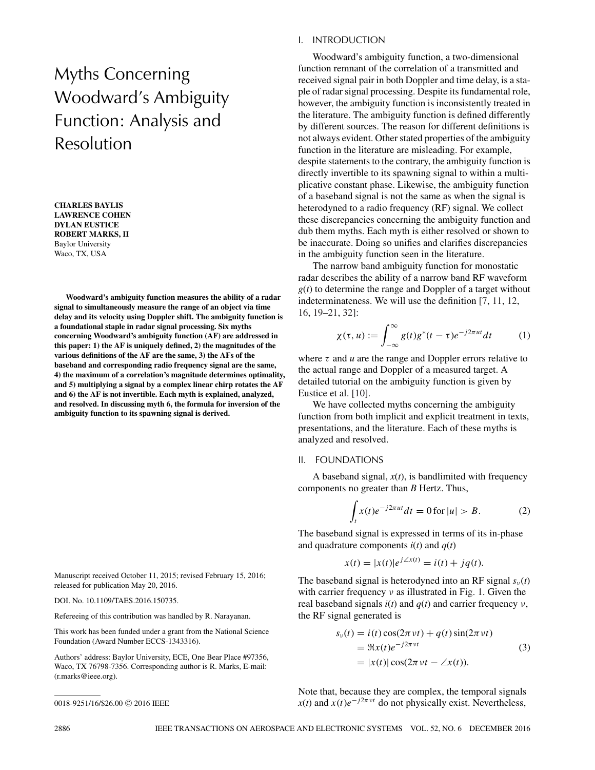# Myths Concerning Woodward's Ambiguity Function: Analysis and Resolution

**CHARLES BAYLIS LAWRENCE COHEN DYLAN EUSTICE ROBERT MARKS, II** Baylor University Waco, TX, USA

**Woodward's ambiguity function measures the ability of a radar signal to simultaneously measure the range of an object via time delay and its velocity using Doppler shift. The ambiguity function is a foundational staple in radar signal processing. Six myths concerning Woodward's ambiguity function (AF) are addressed in this paper: 1) the AF is uniquely defined, 2) the magnitudes of the various definitions of the AF are the same, 3) the AFs of the baseband and corresponding radio frequency signal are the same, 4) the maximum of a correlation's magnitude determines optimality, and 5) multiplying a signal by a complex linear chirp rotates the AF and 6) the AF is not invertible. Each myth is explained, analyzed, and resolved. In discussing myth 6, the formula for inversion of the ambiguity function to its spawning signal is derived.**

Manuscript received October 11, 2015; revised February 15, 2016; released for publication May 20, 2016.

#### DOI. No. 10.1109/TAES.2016.150735.

Refereeing of this contribution was handled by R. Narayanan.

This work has been funded under a grant from the National Science Foundation (Award Number ECCS-1343316).

Authors' address: Baylor University, ECE, One Bear Place #97356, Waco, TX 76798-7356. Corresponding author is R. Marks, E-mail: (r.marks@ieee.org).

Woodward's ambiguity function, a two-dimensional function remnant of the correlation of a transmitted and received signal pair in both Doppler and time delay, is a staple of radar signal processing. Despite its fundamental role, however, the ambiguity function is inconsistently treated in the literature. The ambiguity function is defined differently by different sources. The reason for different definitions is not always evident. Other stated properties of the ambiguity function in the literature are misleading. For example, despite statements to the contrary, the ambiguity function is directly invertible to its spawning signal to within a multiplicative constant phase. Likewise, the ambiguity function of a baseband signal is not the same as when the signal is heterodyned to a radio frequency (RF) signal. We collect these discrepancies concerning the ambiguity function and dub them myths. Each myth is either resolved or shown to be inaccurate. Doing so unifies and clarifies discrepancies in the ambiguity function seen in the literature.

The narrow band ambiguity function for monostatic radar describes the ability of a narrow band RF waveform *g*(*t*) to determine the range and Doppler of a target without indeterminateness. We will use the definition [7, 11, 12, 16, 19–21, 32]:

$$
\chi(\tau, u) := \int_{-\infty}^{\infty} g(t)g^*(t - \tau)e^{-j2\pi ut}dt \tag{1}
$$

where  $\tau$  and  $u$  are the range and Doppler errors relative to the actual range and Doppler of a measured target. A detailed tutorial on the ambiguity function is given by Eustice et al. [10].

We have collected myths concerning the ambiguity function from both implicit and explicit treatment in texts, presentations, and the literature. Each of these myths is analyzed and resolved.

## II. FOUNDATIONS

A baseband signal, *x*(*t*), is bandlimited with frequency components no greater than *B* Hertz. Thus,

$$
\int_{t} x(t)e^{-j2\pi ut}dt = 0 \text{ for } |u| > B.
$$
 (2)

The baseband signal is expressed in terms of its in-phase and quadrature components  $i(t)$  and  $q(t)$ 

$$
x(t) = |x(t)|e^{j\angle x(t)} = i(t) + jq(t).
$$

The baseband signal is heterodyned into an RF signal  $s<sub>\nu</sub>(t)$ with carrier frequency *ν* as illustrated in Fig. 1. Given the real baseband signals *i*(*t*) and *q*(*t*) and carrier frequency *ν*, the RF signal generated is

$$
s_{\nu}(t) = i(t)\cos(2\pi \nu t) + q(t)\sin(2\pi \nu t)
$$
  
= 
$$
\Re x(t)e^{-j2\pi \nu t}
$$
  
= 
$$
|x(t)|\cos(2\pi \nu t - \angle x(t)).
$$
 (3)

Note that, because they are complex, the temporal signals *x*(*t*) and *x*(*t*)*e*<sup>−*j*2*πvt*</sup> do not physically exist. Nevertheless,

<sup>0018-9251/16/\$26.00 © 2016</sup> IEEE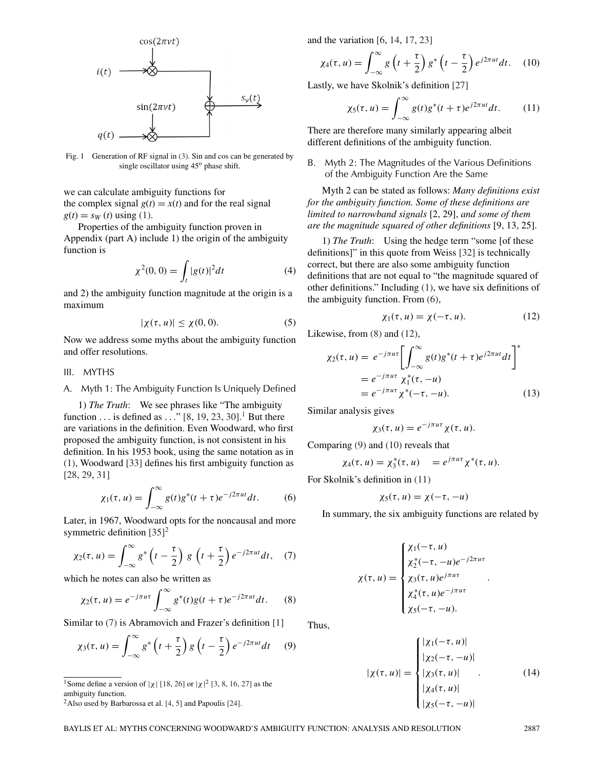

Fig. 1 Generation of RF signal in (3). Sin and cos can be generated by single oscillator using 45<sup>o</sup> phase shift.

we can calculate ambiguity functions for the complex signal  $g(t) = x(t)$  and for the real signal  $g(t) = s_W(t)$  using (1).

Properties of the ambiguity function proven in Appendix (part A) include 1) the origin of the ambiguity function is

$$
\chi^2(0,0) = \int_t |g(t)|^2 dt
$$
 (4)

and 2) the ambiguity function magnitude at the origin is a maximum

$$
|\chi(\tau, u)| \le \chi(0, 0). \tag{5}
$$

Now we address some myths about the ambiguity function and offer resolutions.

#### III. MYTHS

## A. Myth 1: The Ambiguity Function Is Uniquely Defined

1) *The Truth*: We see phrases like "The ambiguity function *...* is defined as *...*" [8, 19, 23, 30]. <sup>1</sup> But there are variations in the definition. Even Woodward, who first proposed the ambiguity function, is not consistent in his definition. In his 1953 book, using the same notation as in (1), Woodward [33] defines his first ambiguity function as [28, 29, 31]

$$
\chi_1(\tau, u) = \int_{-\infty}^{\infty} g(t)g^*(t+\tau)e^{-j2\pi ut}dt.
$$
 (6)

Later, in 1967, Woodward opts for the noncausal and more symmetric definition  $[35]$ <sup>2</sup>

$$
\chi_2(\tau, u) = \int_{-\infty}^{\infty} g^* \left( t - \frac{\tau}{2} \right) g \left( t + \frac{\tau}{2} \right) e^{-j2\pi ut} dt, \quad (7)
$$

which he notes can also be written as

$$
\chi_2(\tau, u) = e^{-j\pi u \tau} \int_{-\infty}^{\infty} g^*(t)g(t+\tau)e^{-j2\pi ut}dt.
$$
 (8)

Similar to (7) is Abramovich and Frazer's definition [1]

$$
\chi_3(\tau, u) = \int_{-\infty}^{\infty} g^* \left( t + \frac{\tau}{2} \right) g \left( t - \frac{\tau}{2} \right) e^{-j2\pi ut} dt \tag{9}
$$

<sup>1</sup>Some define a version of  $|\chi|$  [18, 26] or  $|\chi|^2$  [3, 8, 16, 27] as the ambiguity function.

and the variation [6, 14, 17, 23]

$$
\chi_4(\tau, u) = \int_{-\infty}^{\infty} g\left(t + \frac{\tau}{2}\right) g^* \left(t - \frac{\tau}{2}\right) e^{j2\pi ut} dt. \quad (10)
$$

Lastly, we have Skolnik's definition [27]

$$
\chi_5(\tau, u) = \int_{-\infty}^{\infty} g(t)g^*(t+\tau)e^{j2\pi ut}dt.
$$
 (11)

There are therefore many similarly appearing albeit different definitions of the ambiguity function.

B. Myth 2: The Magnitudes of the Various Definitions of the Ambiguity Function Are the Same

Myth 2 can be stated as follows: *Many definitions exist for the ambiguity function. Some of these definitions are limited to narrowband signals* [2, 29], *and some of them are the magnitude squared of other definitions* [9, 13, 25].

1) *The Truth*: Using the hedge term "some [of these definitions]" in this quote from Weiss [32] is technically correct, but there are also some ambiguity function definitions that are not equal to "the magnitude squared of other definitions." Including (1), we have six definitions of the ambiguity function. From (6),

$$
\chi_1(\tau, u) = \chi(-\tau, u). \tag{12}
$$

Likewise, from (8) and (12),

$$
\chi_2(\tau, u) = e^{-j\pi u \tau} \left[ \int_{-\infty}^{\infty} g(t) g^*(t + \tau) e^{j2\pi u t} dt \right]^*
$$
  
=  $e^{-j\pi u \tau} \chi_1^*(\tau, -u)$   
=  $e^{-j\pi u \tau} \chi^*(-\tau, -u).$  (13)

Similar analysis gives

$$
\chi_3(\tau, u) = e^{-j\pi u \tau} \chi(\tau, u).
$$

Comparing (9) and (10) reveals that

$$
\chi_4(\tau, u) = \chi_3^*(\tau, u) = e^{j\pi u \tau} \chi^*(\tau, u).
$$

For Skolnik's definition in (11)

$$
\chi_5(\tau,u)=\chi(-\tau,-u)
$$

In summary, the six ambiguity functions are related by

$$
\chi(\tau, u) = \begin{cases}\n\chi_1(-\tau, u) \\
\chi_2^*(-\tau, -u)e^{-j2\pi u \tau} \\
\chi_3(\tau, u)e^{j\pi u \tau} \\
\chi_4^*(\tau, u)e^{-j\pi u \tau} \\
\chi_5(-\tau, -u).\n\end{cases}
$$

Thus,

$$
|\chi(\tau, u)| = \begin{cases} |\chi_1(-\tau, u)| \\ |\chi_2(-\tau, -u)| \\ |\chi_3(\tau, u)| \\ |\chi_4(\tau, u)| \\ |\chi_5(-\tau, -u)| \end{cases}
$$
(14)

<sup>&</sup>lt;sup>2</sup>Also used by Barbarossa et al.  $[4, 5]$  and Papoulis  $[24]$ .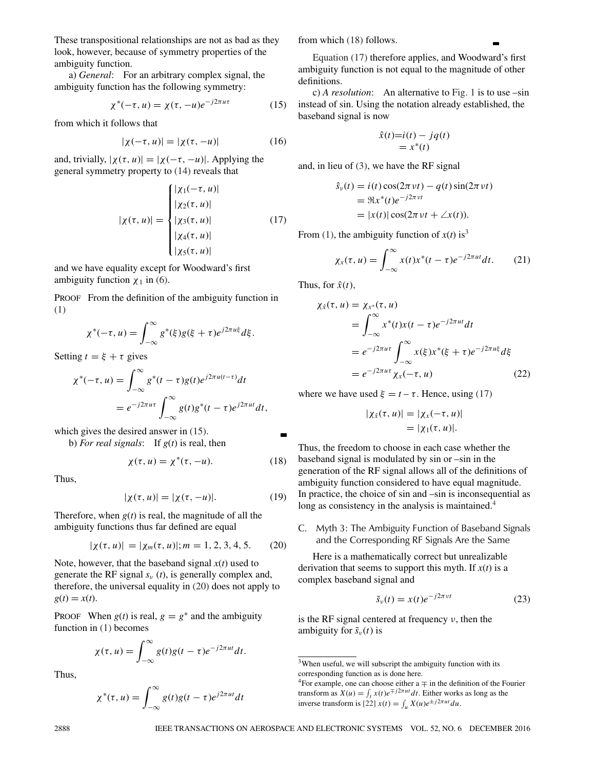These transpositional relationships are not as bad as they look, however, because of symmetry properties of the ambiguity function.

a) *General*: For an arbitrary complex signal, the ambiguity function has the following symmetry:

$$
\chi^*(-\tau, u) = \chi(\tau, -u)e^{-j2\pi u\tau}
$$
 (15)

from which it follows that

$$
|\chi(-\tau, u)| = |\chi(\tau, -u)| \tag{16}
$$

and, trivially,  $|\chi(\tau, u)| = |\chi(-\tau, -u)|$ . Applying the general symmetry property to (14) reveals that

$$
|\chi(\tau, u)| = \begin{cases} |\chi_1(-\tau, u)| \\ |\chi_2(\tau, u)| \\ |\chi_3(\tau, u)| \\ |\chi_4(\tau, u)| \\ |\chi_5(\tau, u)| \end{cases}
$$
(17)

and we have equality except for Woodward's first ambiguity function  $\chi_1$  in (6).

PROOF From the definition of the ambiguity function in (1)

$$
\chi^*(-\tau, u) = \int_{-\infty}^{\infty} g^*(\xi)g(\xi + \tau)e^{j2\pi u\xi}d\xi.
$$

Setting  $t = \xi + \tau$  gives

$$
\chi^*(-\tau, u) = \int_{-\infty}^{\infty} g^*(t - \tau)g(t)e^{j2\pi u(t - \tau)}dt
$$
  
=  $e^{-j2\pi u\tau} \int_{-\infty}^{\infty} g(t)g^*(t - \tau)e^{j2\pi u t}dt$ ,

which gives the desired answer in (15).

b) *For real signals*: If *g*(*t*) is real, then

$$
\chi(\tau, u) = \chi^*(\tau, -u). \tag{18}
$$

Thus,

$$
|\chi(\tau, u)| = |\chi(\tau, -u)|. \tag{19}
$$

Therefore, when  $g(t)$  is real, the magnitude of all the ambiguity functions thus far defined are equal

$$
|\chi(\tau, u)| = |\chi_m(\tau, u)|; m = 1, 2, 3, 4, 5. \tag{20}
$$

Note, however, that the baseband signal  $x(t)$  used to generate the RF signal  $s<sub>v</sub>$  (*t*), is generally complex and, therefore, the universal equality in (20) does not apply to  $g(t) = x(t)$ .

PROOF When  $g(t)$  is real,  $g = g^*$  and the ambiguity function in (1) becomes

$$
\chi(\tau, u) = \int_{-\infty}^{\infty} g(t)g(t-\tau)e^{-j2\pi ut}dt.
$$

Thus,

$$
\chi^*(\tau, u) = \int_{-\infty}^{\infty} g(t)g(t-\tau)e^{j2\pi ut}dt
$$

from which (18) follows.

Equation (17) therefore applies, and Woodward's first ambiguity function is not equal to the magnitude of other definitions.

c) *A resolution*: An alternative to Fig. 1 is to use –sin instead of sin. Using the notation already established, the baseband signal is now

$$
\hat{x}(t)=i(t) - jq(t)
$$

$$
= x^*(t)
$$

and, in lieu of (3), we have the RF signal

$$
\hat{s}_v(t) = i(t)\cos(2\pi vt) - q(t)\sin(2\pi vt)
$$
  
=  $\Re x^*(t)e^{-j2\pi vt}$   
=  $|x(t)|\cos(2\pi vt + \angle x(t)).$ 

From (1), the ambiguity function of  $x(t)$  is<sup>3</sup>

$$
\chi_x(\tau, u) = \int_{-\infty}^{\infty} x(t) x^*(t - \tau) e^{-j2\pi ut} dt.
$$
 (21)

Thus, for  $\hat{x}(t)$ ,

$$
\chi_{\hat{x}}(\tau, u) = \chi_{x^*}(\tau, u)
$$
  
= 
$$
\int_{-\infty}^{\infty} x^*(t)x(t - \tau)e^{-j2\pi ut}dt
$$
  
= 
$$
e^{-j2\pi u\tau} \int_{-\infty}^{\infty} x(\xi)x^*(\xi + \tau)e^{-j2\pi u\xi}d\xi
$$
  
= 
$$
e^{-j2\pi u\tau}\chi_x(-\tau, u)
$$
 (22)

where we have used  $\xi = t - \tau$ . Hence, using (17)

$$
|\chi_{\hat{x}}(\tau, u)| = |\chi_x(-\tau, u)|
$$
  
=  $|\chi_1(\tau, u)|$ .

Thus, the freedom to choose in each case whether the baseband signal is modulated by sin or –sin in the generation of the RF signal allows all of the definitions of ambiguity function considered to have equal magnitude. In practice, the choice of sin and –sin is inconsequential as long as consistency in the analysis is maintained.<sup>4</sup>

C. Myth 3: The Ambiguity Function of Baseband Signals and the Corresponding RF Signals Are the Same

Here is a mathematically correct but unrealizable derivation that seems to support this myth. If  $x(t)$  is a complex baseband signal and

$$
\tilde{s}_{\nu}(t) = x(t)e^{-j2\pi\nu t}
$$
\n(23)

is the RF signal centered at frequency *ν*, then the ambiguity for  $\tilde{s}_v(t)$  is

<sup>3</sup>When useful, we will subscript the ambiguity function with its corresponding function as is done here.

<sup>&</sup>lt;sup>4</sup>For example, one can choose either  $a \mp in$  the definition of the Fourier transform as  $X(u) = \int_t x(t)e^{\mp j2\pi ut} dt$ . Either works as long as the inverse transform is [22]  $x(t) = \int_u X(u)e^{\pm j2\pi ut} du$ .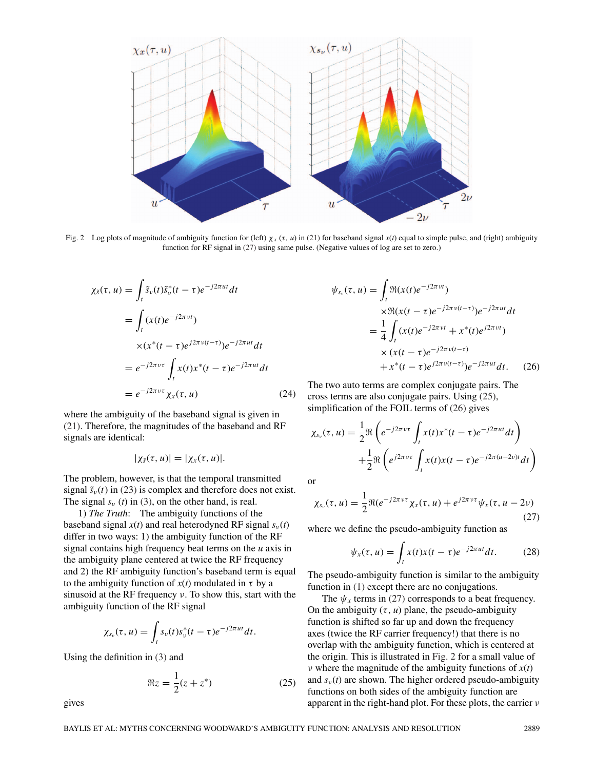

Fig. 2 Log plots of magnitude of ambiguity function for (left)  $\chi_x(\tau, u)$  in (21) for baseband signal  $x(t)$  equal to simple pulse, and (right) ambiguity function for RF signal in (27) using same pulse. (Negative values of log are set to zero.)

$$
\chi_{\tilde{s}}(\tau, u) = \int_{t} \tilde{s}_{\nu}(t)\tilde{s}_{\nu}^{*}(t-\tau)e^{-j2\pi ut}dt
$$
  
\n
$$
= \int_{t} (x(t)e^{-j2\pi \nu t})
$$
  
\n
$$
\times (x^{*}(t-\tau)e^{j2\pi \nu(t-\tau)})e^{-j2\pi ut}dt
$$
  
\n
$$
= e^{-j2\pi \nu \tau} \int_{t} x(t)x^{*}(t-\tau)e^{-j2\pi ut}dt
$$
  
\n
$$
= e^{-j2\pi \nu \tau} \chi_{x}(\tau, u)
$$
\n(24)

where the ambiguity of the baseband signal is given in (21). Therefore, the magnitudes of the baseband and RF signals are identical:

$$
|\chi_{\tilde{s}}(\tau,u)|=|\chi_x(\tau,u)|.
$$

The problem, however, is that the temporal transmitted signal  $\tilde{s}_y(t)$  in (23) is complex and therefore does not exist. The signal  $s_v$  (*t*) in (3), on the other hand, is real.

1) *The Truth*: The ambiguity functions of the baseband signal  $x(t)$  and real heterodyned RF signal  $s<sub>v</sub>(t)$ differ in two ways: 1) the ambiguity function of the RF signal contains high frequency beat terms on the *u* axis in the ambiguity plane centered at twice the RF frequency and 2) the RF ambiguity function's baseband term is equal to the ambiguity function of  $x(t)$  modulated in  $\tau$  by a sinusoid at the RF frequency *ν*. To show this, start with the ambiguity function of the RF signal

$$
\chi_{s_v}(\tau,u)=\int_t s_v(t)s_v^*(t-\tau)e^{-j2\pi ut}dt.
$$

Using the definition in (3) and

$$
\Re z = \frac{1}{2}(z + z^*)\tag{25}
$$

 $\psi_{s_v}(\tau, u) =$  $\lim_{t}$  (*x*(*t*)*e*<sup>−*j*2*πνt*</sup>)  $\times \Re(x(t-\tau)e^{-j2\pi v(t-\tau)})e^{-j2\pi ut}dt$  $=$  $\frac{1}{4}$ -  $\int_{t}^{t} (x(t)e^{-j2\pi vt} + x^{*}(t)e^{j2\pi vt})$  $\times$   $(x(t-\tau)e^{-j2\pi v(t-\tau)})$  $+x^*(t-\tau)e^{j2\pi v(t-\tau)}e^{-j2\pi ut}dt.$  (26)

The two auto terms are complex conjugate pairs. The cross terms are also conjugate pairs. Using (25), simplification of the FOIL terms of (26) gives

$$
\chi_{s_v}(\tau, u) = \frac{1}{2} \Re \left( e^{-j2\pi v \tau} \int_t x(t) x^*(t - \tau) e^{-j2\pi ut} dt \right) + \frac{1}{2} \Re \left( e^{j2\pi v \tau} \int_t x(t) x(t - \tau) e^{-j2\pi (u - 2v)t} dt \right)
$$

or

$$
\chi_{s_v}(\tau, u) = \frac{1}{2} \Re(e^{-j2\pi v \tau} \chi_x(\tau, u) + e^{j2\pi v \tau} \psi_x(\tau, u - 2v) \tag{27}
$$

where we define the pseudo-ambiguity function as

$$
\psi_x(\tau, u) = \int_t x(t)x(t-\tau)e^{-j2\pi ut}dt.
$$
 (28)

The pseudo-ambiguity function is similar to the ambiguity function in (1) except there are no conjugations.

The  $\psi_x$  terms in (27) corresponds to a beat frequency. On the ambiguity  $(\tau, u)$  plane, the pseudo-ambiguity function is shifted so far up and down the frequency axes (twice the RF carrier frequency!) that there is no overlap with the ambiguity function, which is centered at the origin. This is illustrated in Fig. 2 for a small value of *ν* where the magnitude of the ambiguity functions of *x*(*t*) and  $s<sub>v</sub>(t)$  are shown. The higher ordered pseudo-ambiguity functions on both sides of the ambiguity function are apparent in the right-hand plot. For these plots, the carrier *ν*

gives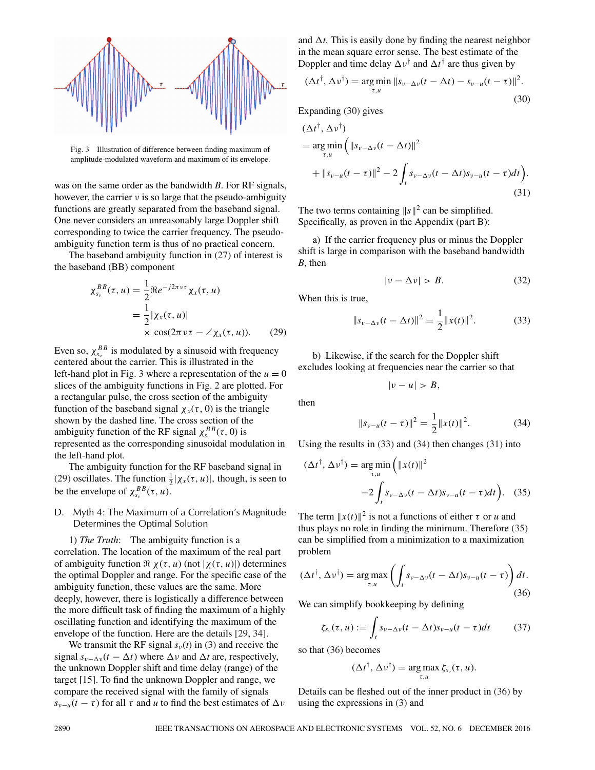

Fig. 3 Illustration of difference between finding maximum of amplitude-modulated waveform and maximum of its envelope.

was on the same order as the bandwidth *B*. For RF signals, however, the carrier *ν* is so large that the pseudo-ambiguity functions are greatly separated from the baseband signal. One never considers an unreasonably large Doppler shift corresponding to twice the carrier frequency. The pseudoambiguity function term is thus of no practical concern.

The baseband ambiguity function in (27) of interest is the baseband (BB) component

$$
\chi_{s_v}^{BB}(\tau, u) = \frac{1}{2} \Re e^{-j2\pi \nu \tau} \chi_x(\tau, u)
$$
  
= 
$$
\frac{1}{2} |\chi_x(\tau, u)|
$$
  

$$
\times \cos(2\pi \nu \tau - \angle \chi_x(\tau, u)).
$$
 (29)

Even so,  $\chi_{s_v}^{BB}$  is modulated by a sinusoid with frequency centered about the carrier. This is illustrated in the left-hand plot in Fig. 3 where a representation of the  $u = 0$ slices of the ambiguity functions in Fig. 2 are plotted. For a rectangular pulse, the cross section of the ambiguity function of the baseband signal  $\chi_x(\tau, 0)$  is the triangle shown by the dashed line. The cross section of the ambiguity function of the RF signal  $\chi_{s_v}^{BB}(\tau, 0)$  is represented as the corresponding sinusoidal modulation in the left-hand plot.

The ambiguity function for the RF baseband signal in (29) oscillates. The function  $\frac{1}{2}|\chi_x(\tau, u)|$ , though, is seen to be the envelope of  $\chi_{s_v}^{BB}(\tau, u)$ .

# D. Myth 4: The Maximum of a Correlation's Magnitude Determines the Optimal Solution

1) *The Truth*: The ambiguity function is a correlation. The location of the maximum of the real part of ambiguity function  $\Re \chi(\tau, u)$  (not  $|\chi(\tau, u)|$ ) determines the optimal Doppler and range. For the specific case of the ambiguity function, these values are the same. More deeply, however, there is logistically a difference between the more difficult task of finding the maximum of a highly oscillating function and identifying the maximum of the envelope of the function. Here are the details [29, 34].

We transmit the RF signal  $s<sub>\nu</sub>(t)$  in (3) and receive the signal  $s_{\nu-\Delta\nu}(t-\Delta t)$  where  $\Delta\nu$  and  $\Delta t$  are, respectively, the unknown Doppler shift and time delay (range) of the target [15]. To find the unknown Doppler and range, we compare the received signal with the family of signals *s*<sub>*ν*−*u*</sub>(*t* − *τ*) for all *τ* and *u* to find the best estimates of  $\Delta$ *ν*  and  $\Delta t$ . This is easily done by finding the nearest neighbor in the mean square error sense. The best estimate of the Doppler and time delay  $\Delta v^{\dagger}$  and  $\Delta t^{\dagger}$  are thus given by

$$
(\Delta t^{\dagger}, \Delta \nu^{\dagger}) = \underset{\tau, u}{\text{arg min}} \|\mathbf{s}_{\nu - \Delta \nu}(t - \Delta t) - \mathbf{s}_{\nu - u}(t - \tau)\|^2. \tag{30}
$$

Expanding (30) gives

$$
(\Delta t^{\dagger}, \Delta v^{\dagger})
$$
  
= arg min<sub>τ,u</sub>  
+  $||s_{v-u}(t-\tau)||^2$   
+  $||s_{v-u}(t-\tau)||^2 - 2 \int_t s_{v-\Delta v}(t-\Delta t)s_{v-u}(t-\tau)dt$  (31)

The two terms containing  $||s||^2$  can be simplified. Specifically, as proven in the Appendix (part B):

a) If the carrier frequency plus or minus the Doppler shift is large in comparison with the baseband bandwidth *B*, then

$$
|\nu - \Delta \nu| > B. \tag{32}
$$

When this is true,

$$
||s_{\nu-\Delta\nu}(t-\Delta t)||^2 = \frac{1}{2}||x(t)||^2.
$$
 (33)

b) Likewise, if the search for the Doppler shift excludes looking at frequencies near the carrier so that

 $|v - u| > B$ ,

then

$$
||s_{\nu-\nu}(t-\tau)||^2 = \frac{1}{2}||x(t)||^2.
$$
 (34)

Using the results in (33) and (34) then changes (31) into

$$
(\Delta t^{\dagger}, \Delta v^{\dagger}) = \underset{\tau, u}{\arg \min} \left( \|x(t)\|^2 - 2 \int_t s_{v - \Delta v} (t - \Delta t) s_{v - u} (t - \tau) dt \right). \tag{35}
$$

The term  $||x(t)||^2$  is not a functions of either  $\tau$  or *u* and thus plays no role in finding the minimum. Therefore (35) can be simplified from a minimization to a maximization problem

$$
(\Delta t^{\dagger}, \Delta v^{\dagger}) = \underset{\tau, u}{\arg \max} \left( \int_{t} s_{v - \Delta v} (t - \Delta t) s_{v - u} (t - \tau) \right) dt.
$$
\n(36)

We can simplify bookkeeping by defining

$$
\zeta_{s_v}(\tau, u) := \int_t s_{v - \Delta v}(t - \Delta t)s_{v - u}(t - \tau)dt \qquad (37)
$$

so that (36) becomes

$$
(\Delta t^{\dagger}, \Delta v^{\dagger}) = \underset{\tau, u}{\arg \max} \zeta_{s_v}(\tau, u).
$$

Details can be fleshed out of the inner product in (36) by using the expressions in (3) and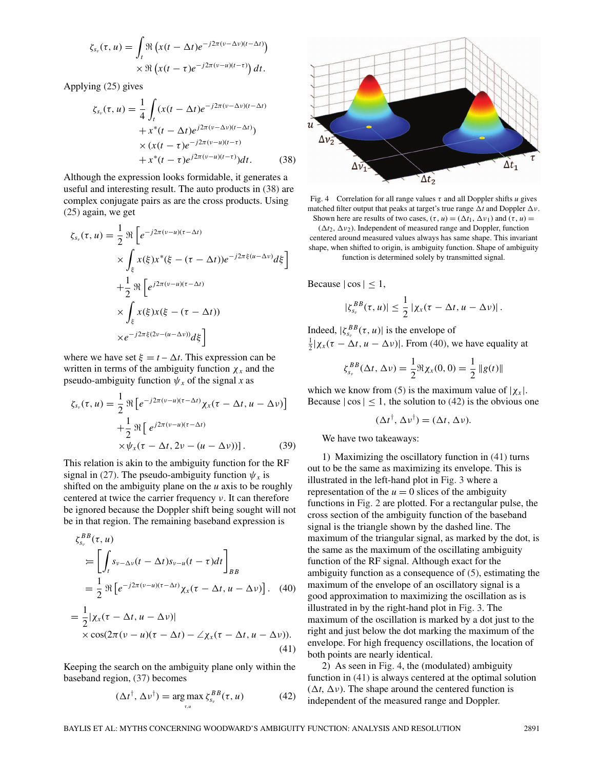$$
\zeta_{s_v}(\tau, u) = \int_t \Re\left(x(t-\Delta t)e^{-j2\pi(v-\Delta v)(t-\Delta t)}\right) \times \Re\left(x(t-\tau)e^{-j2\pi(v-u)(t-\tau)}\right)dt.
$$

Applying (25) gives

$$
\zeta_{s_v}(\tau, u) = \frac{1}{4} \int_t (x(t - \Delta t)e^{-j2\pi(v - \Delta v)(t - \Delta t)} + x^*(t - \Delta t)e^{j2\pi(v - \Delta v)(t - \Delta t)}) \times (x(t - \tau)e^{-j2\pi(v - u)(t - \tau)} + x^*(t - \tau)e^{j2\pi(v - u)(t - \tau)})dt.
$$
 (38)

Although the expression looks formidable, it generates a useful and interesting result. The auto products in (38) are complex conjugate pairs as are the cross products. Using (25) again, we get

$$
\zeta_{s_v}(\tau, u) = \frac{1}{2} \Re \left[ e^{-j2\pi(\nu - u)(\tau - \Delta t)} \times \int_{\xi} x(\xi) x^*(\xi - (\tau - \Delta t)) e^{-j2\pi\xi(u - \Delta \nu)} d\xi \right]
$$

$$
+ \frac{1}{2} \Re \left[ e^{j2\pi(\nu - u)(\tau - \Delta t)} \times \int_{\xi} x(\xi) x(\xi - (\tau - \Delta t))
$$

$$
\times e^{-j2\pi\xi(2\nu - (u - \Delta \nu))} d\xi \right]
$$

where we have set  $\xi = t - \Delta t$ . This expression can be written in terms of the ambiguity function  $\chi_x$  and the pseudo-ambiguity function  $\psi_x$  of the signal *x* as

$$
\zeta_{s_v}(\tau, u) = \frac{1}{2} \Re \left[ e^{-j2\pi(\nu - u)(\tau - \Delta t)} \chi_x(\tau - \Delta t, u - \Delta \nu) \right] + \frac{1}{2} \Re \left[ e^{j2\pi(\nu - u)(\tau - \Delta t)} \times \psi_x(\tau - \Delta t, 2\nu - (u - \Delta \nu)) \right].
$$
 (39)

This relation is akin to the ambiguity function for the RF signal in (27). The pseudo-ambiguity function  $\psi_x$  is shifted on the ambiguity plane on the *u* axis to be roughly centered at twice the carrier frequency *ν*. It can therefore be ignored because the Doppler shift being sought will not be in that region. The remaining baseband expression is

$$
\zeta_{s_v}^{BB}(\tau, u)
$$
\n
$$
= \left[ \int_t s_{v-\Delta v}(t - \Delta t) s_{v-u}(t - \tau) dt \right]_{BB}
$$
\n
$$
= \frac{1}{2} \Re \left[ e^{-j2\pi (v-u)(\tau - \Delta t)} \chi_x(\tau - \Delta t, u - \Delta v) \right]. \quad (40)
$$

$$
= \frac{1}{2} |\chi_x(\tau - \Delta t, u - \Delta v)|
$$
  
 
$$
\times \cos(2\pi(v - u)(\tau - \Delta t) - \angle \chi_x(\tau - \Delta t, u - \Delta v)).
$$
 (41)

Keeping the search on the ambiguity plane only within the baseband region, (37) becomes

$$
(\Delta t^{\dagger}, \Delta \nu^{\dagger}) = \underset{\tau, u}{\text{arg max}} \zeta_{s_v}^{BB}(\tau, u) \tag{42}
$$



Fig. 4 Correlation for all range values *τ* and all Doppler shifts *u* gives matched filter output that peaks at target's true range  $\Delta t$  and Doppler  $\Delta v$ . Shown here are results of two cases,  $(\tau, u) = (\Delta t_1, \Delta v_1)$  and  $(\tau, u) =$ 

 $(\Delta t_2, \Delta v_2)$ . Independent of measured range and Doppler, function centered around measured values always has same shape. This invariant shape, when shifted to origin, is ambiguity function. Shape of ambiguity function is determined solely by transmitted signal.

Because  $|\cos| \leq 1$ ,

$$
|\zeta_{s_v}^{BB}(\tau,u)| \leq \frac{1}{2} |\chi_x(\tau - \Delta t, u - \Delta v)|.
$$

Indeed,  $|\zeta_{s_v}^{BB}(\tau, u)|$  is the envelope of  $\frac{1}{2}|\chi_x(\tau - \Delta t, u - \Delta v)|$ . From (40), we have equality at

$$
\zeta_{s_v}^{BB}(\Delta t, \Delta v) = \frac{1}{2} \Re \chi_x(0, 0) = \frac{1}{2} ||g(t)||
$$

which we know from (5) is the maximum value of  $|\chi_x|$ . Because  $|\cos| \leq 1$ , the solution to (42) is the obvious one

$$
(\Delta t^{\dagger}, \Delta v^{\dagger}) = (\Delta t, \Delta v).
$$

We have two takeaways:

1) Maximizing the oscillatory function in (41) turns out to be the same as maximizing its envelope. This is illustrated in the left-hand plot in Fig. 3 where a representation of the  $u = 0$  slices of the ambiguity functions in Fig. 2 are plotted. For a rectangular pulse, the cross section of the ambiguity function of the baseband signal is the triangle shown by the dashed line. The maximum of the triangular signal, as marked by the dot, is the same as the maximum of the oscillating ambiguity function of the RF signal. Although exact for the ambiguity function as a consequence of (5), estimating the maximum of the envelope of an oscillatory signal is a good approximation to maximizing the oscillation as is illustrated in by the right-hand plot in Fig. 3. The maximum of the oscillation is marked by a dot just to the right and just below the dot marking the maximum of the envelope. For high frequency oscillations, the location of both points are nearly identical.

2) As seen in Fig. 4, the (modulated) ambiguity function in (41) is always centered at the optimal solution  $(\Delta t, \Delta \nu)$ . The shape around the centered function is independent of the measured range and Doppler.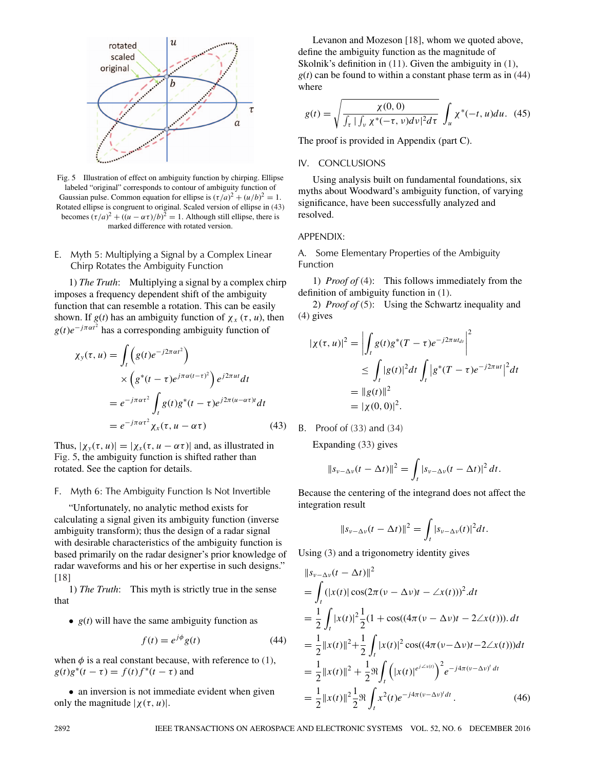

Fig. 5 Illustration of effect on ambiguity function by chirping. Ellipse labeled "original" corresponds to contour of ambiguity function of Gaussian pulse. Common equation for ellipse is  $(\tau/a)^2 + (u/b)^2 = 1$ . Rotated ellipse is congruent to original. Scaled version of ellipse in (43) becomes  $(\tau/a)^2 + ((u - \alpha \tau)/b)^2 = 1$ . Although still ellipse, there is marked difference with rotated version.

## E. Myth 5: Multiplying a Signal by a Complex Linear Chirp Rotates the Ambiguity Function

1) *The Truth*: Multiplying a signal by a complex chirp imposes a frequency dependent shift of the ambiguity function that can resemble a rotation. This can be easily shown. If  $g(t)$  has an ambiguity function of  $\chi_x(\tau, u)$ , then  $g(t)e^{-j\pi\alpha t^2}$  has a corresponding ambiguity function of

$$
\chi_{y}(\tau, u) = \int_{t} \left( g(t)e^{-j2\pi\alpha t^{2}} \right)
$$

$$
\times \left( g^{*}(t-\tau)e^{j\pi\alpha(t-\tau)^{2}} \right) e^{j2\pi ut} dt
$$

$$
= e^{-j\pi\alpha\tau^{2}} \int_{t} g(t)g^{*}(t-\tau)e^{j2\pi(u-\alpha\tau)t} dt
$$

$$
= e^{-j\pi\alpha\tau^{2}} \chi_{x}(\tau, u-\alpha\tau) \tag{43}
$$

Thus,  $|\chi_{y}(\tau, u)| = |\chi_{x}(\tau, u - \alpha \tau)|$  and, as illustrated in Fig. 5, the ambiguity function is shifted rather than rotated. See the caption for details.

## F. Myth 6: The Ambiguity Function Is Not Invertible

"Unfortunately, no analytic method exists for calculating a signal given its ambiguity function (inverse ambiguity transform); thus the design of a radar signal with desirable characteristics of the ambiguity function is based primarily on the radar designer's prior knowledge of radar waveforms and his or her expertise in such designs." [18]

1) *The Truth*: This myth is strictly true in the sense that

• *g*(*t*) will have the same ambiguity function as

$$
f(t) = e^{j\phi}g(t)
$$
 (44)

when  $\phi$  is a real constant because, with reference to (1),  $g(t)g^{*}(t-\tau) = f(t)f^{*}(t-\tau)$  and

• an inversion is not immediate evident when given only the magnitude  $|\chi(\tau, u)|$ .

Levanon and Mozeson [18], whom we quoted above, define the ambiguity function as the magnitude of Skolnik's definition in (11). Given the ambiguity in (1),  $g(t)$  can be found to within a constant phase term as in  $(44)$ where

$$
g(t) = \sqrt{\frac{\chi(0,0)}{\int_{\tau} |\int_{\nu} \chi^*(-\tau,\nu) d\nu|^2 d\tau}} \int_{u} \chi^*(-t,\nu) du. \tag{45}
$$

The proof is provided in Appendix (part C).

#### IV. CONCLUSIONS

Using analysis built on fundamental foundations, six myths about Woodward's ambiguity function, of varying significance, have been successfully analyzed and resolved.

#### APPENDIX:

A. Some Elementary Properties of the Ambiguity Function

1) *Proof of* (4): This follows immediately from the definition of ambiguity function in (1).

2) *Proof of* (5): Using the Schwartz inequality and (4) gives

$$
|\chi(\tau, u)|^2 = \left| \int_t g(t)g^*(T - \tau)e^{-j2\pi ut_{dt}} \right|^2
$$
  
\n
$$
\leq \int_t |g(t)|^2 dt \int_t |g^*(T - \tau)e^{-j2\pi ut}|^2 dt
$$
  
\n
$$
= ||g(t)||^2
$$
  
\n
$$
= |\chi(0, 0)|^2.
$$

B. Proof of (33) and (34)

Expanding (33) gives

$$
||s_{\nu-\Delta\nu}(t-\Delta t)||^2=\int_t |s_{\nu-\Delta\nu}(t-\Delta t)|^2 dt.
$$

Because the centering of the integrand does not affect the integration result

$$
||s_{\nu-\Delta\nu}(t-\Delta t)||^2=\int_t |s_{\nu-\Delta\nu}(t)|^2 dt.
$$

Using (3) and a trigonometry identity gives

$$
\|s_{\nu-\Delta\nu}(t-\Delta t)\|^2
$$
  
=  $\int_t (|x(t)|\cos(2\pi(\nu-\Delta\nu)t-\angle x(t)))^2 dt$   
=  $\frac{1}{2}\int_t |x(t)|^2 \frac{1}{2} (1+\cos((4\pi(\nu-\Delta\nu)t-2\angle x(t))). dt$   
=  $\frac{1}{2}||x(t)||^2 + \frac{1}{2}\int_t |x(t)|^2 \cos((4\pi(\nu-\Delta\nu)t-2\angle x(t)))dt$   
=  $\frac{1}{2}||x(t)||^2 + \frac{1}{2} \Re \int_t (|x(t)|^{e^{j\angle x(t)}})^2 e^{-j4\pi(\nu-\Delta\nu)^t} dt$   
=  $\frac{1}{2}||x(t)||^2 \frac{1}{2} \Re \int_t x^2(t) e^{-j4\pi(\nu-\Delta\nu)^t} dt$ . (46)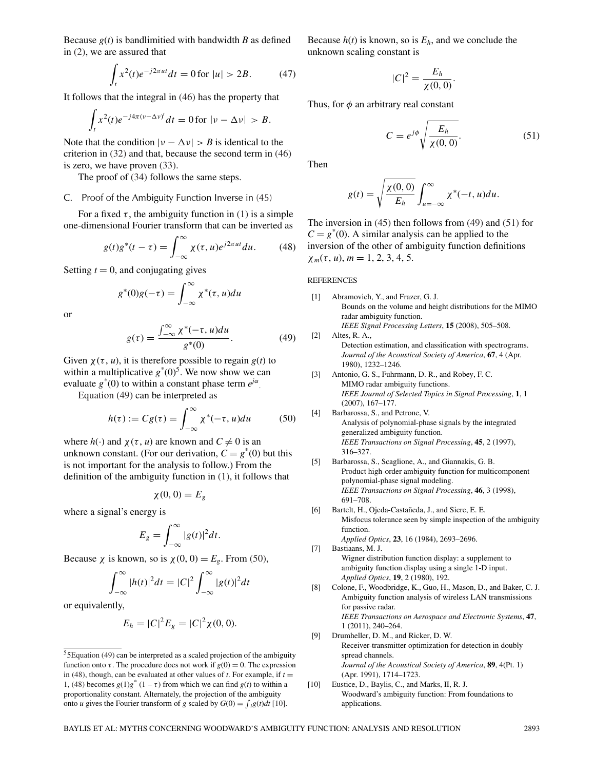Because  $g(t)$  is bandlimitied with bandwidth *B* as defined in (2), we are assured that

$$
\int_{t} x^{2}(t)e^{-j2\pi ut}dt = 0 \text{ for } |u| > 2B.
$$
 (47)

It follows that the integral in (46) has the property that

$$
\int_t x^2(t)e^{-j4\pi(\nu-\Delta\nu)^t}dt=0 \text{ for } |\nu-\Delta\nu| > B.
$$

Note that the condition  $|v - \Delta v| > B$  is identical to the criterion in (32) and that, because the second term in (46) is zero, we have proven (33).

The proof of (34) follows the same steps.

#### C. Proof of the Ambiguity Function Inverse in (45)

For a fixed  $\tau$ , the ambiguity function in (1) is a simple one-dimensional Fourier transform that can be inverted as

$$
g(t)g^*(t-\tau) = \int_{-\infty}^{\infty} \chi(\tau, u)e^{j2\pi ut} du.
$$
 (48)

Setting  $t = 0$ , and conjugating gives

$$
g^*(0)g(-\tau) = \int_{-\infty}^{\infty} \chi^*(\tau, u) du
$$

or

$$
g(\tau) = \frac{\int_{-\infty}^{\infty} \chi^*(-\tau, u) du}{g^*(0)}.
$$
 (49)

Given  $\chi(\tau, u)$ , it is therefore possible to regain  $g(t)$  to within a multiplicative  $g^*(0)^5$ . We now show we can evaluate  $g^*(0)$  to within a constant phase term  $e^{j\alpha}$ .

Equation (49) can be interpreted as

$$
h(\tau) := Cg(\tau) = \int_{-\infty}^{\infty} \chi^*(-\tau, u) du \tag{50}
$$

where  $h(\cdot)$  and  $\chi(\tau, u)$  are known and  $C \neq 0$  is an unknown constant. (For our derivation,  $C = g^*(0)$  but this is not important for the analysis to follow.) From the definition of the ambiguity function in (1), it follows that

$$
\chi(0,0)=E_g
$$

where a signal's energy is

$$
E_g = \int_{-\infty}^{\infty} |g(t)|^2 dt.
$$

Because  $\chi$  is known, so is  $\chi(0, 0) = E_g$ . From (50),

$$
\int_{-\infty}^{\infty} |h(t)|^2 dt = |C|^2 \int_{-\infty}^{\infty} |g(t)|^2 dt
$$

or equivalently,

$$
E_h = |C|^2 E_g = |C|^2 \chi(0, 0).
$$

Because  $h(t)$  is known, so is  $E_h$ , and we conclude the unknown scaling constant is

$$
|C|^2 = \frac{E_h}{\chi(0,0)}.
$$

Thus, for  $\phi$  an arbitrary real constant

$$
C = e^{j\phi} \sqrt{\frac{E_h}{\chi(0,0)}}.
$$
 (51)

Then

$$
g(t) = \sqrt{\frac{\chi(0,0)}{E_h}} \int_{u=-\infty}^{\infty} \chi^*(-t,u) du.
$$

The inversion in (45) then follows from (49) and (51) for  $C = g^*(0)$ . A similar analysis can be applied to the inversion of the other of ambiguity function definitions  $\chi_m(\tau, u)$ ,  $m = 1, 2, 3, 4, 5$ .

**REFERENCES** 

- [1] Abramovich, Y., and Frazer, G. J. Bounds on the volume and height distributions for the MIMO radar ambiguity function. *IEEE Signal Processing Letters*, **15** (2008), 505–508.
- [2] Altes, R. A., Detection estimation, and classification with spectrograms. *Journal of the Acoustical Society of America*, **67**, 4 (Apr. 1980), 1232–1246.
- [3] Antonio, G. S., Fuhrmann, D. R., and Robey, F. C. MIMO radar ambiguity functions. *IEEE Journal of Selected Topics in Signal Processing*, **1**, 1 (2007), 167–177.
- [4] Barbarossa, S., and Petrone, V. Analysis of polynomial-phase signals by the integrated generalized ambiguity function. *IEEE Transactions on Signal Processing*, **45**, 2 (1997), 316–327.
- [5] Barbarossa, S., Scaglione, A., and Giannakis, G. B. Product high-order ambiguity function for multicomponent polynomial-phase signal modeling. *IEEE Transactions on Signal Processing*, **46**, 3 (1998), 691–708.
- [6] Bartelt, H., Ojeda-Castañeda, J., and Sicre, E. E. Misfocus tolerance seen by simple inspection of the ambiguity function. *Applied Optics*, **23**, 16 (1984), 2693–2696.
- [7] Bastiaans, M. J. Wigner distribution function display: a supplement to ambiguity function display using a single 1-D input. *Applied Optics*, **19**, 2 (1980), 192.
- [8] Colone, F., Woodbridge, K., Guo, H., Mason, D., and Baker, C. J. Ambiguity function analysis of wireless LAN transmissions for passive radar. *IEEE Transactions on Aerospace and Electronic Systems*, **47**, 1 (2011), 240–264.
- [9] Drumheller, D. M., and Ricker, D. W. Receiver-transmitter optimization for detection in doubly spread channels. *Journal of the Acoustical Society of America*, **89**, 4(Pt. 1) (Apr. 1991), 1714–1723.
- [10] Eustice, D., Baylis, C., and Marks, II, R. J. Woodward's ambiguity function: From foundations to applications.

 $55E$ quation (49) can be interpreted as a scaled projection of the ambiguity function onto  $\tau$ . The procedure does not work if  $g(0) = 0$ . The expression in (48), though, can be evaluated at other values of  $t$ . For example, if  $t =$ 1, (48) becomes  $g(1)g^*(1-\tau)$  from which we can find  $g(t)$  to within a proportionality constant. Alternately, the projection of the ambiguity onto *u* gives the Fourier transform of *g* scaled by  $G(0) = \int_{t} g(t) dt$  [10].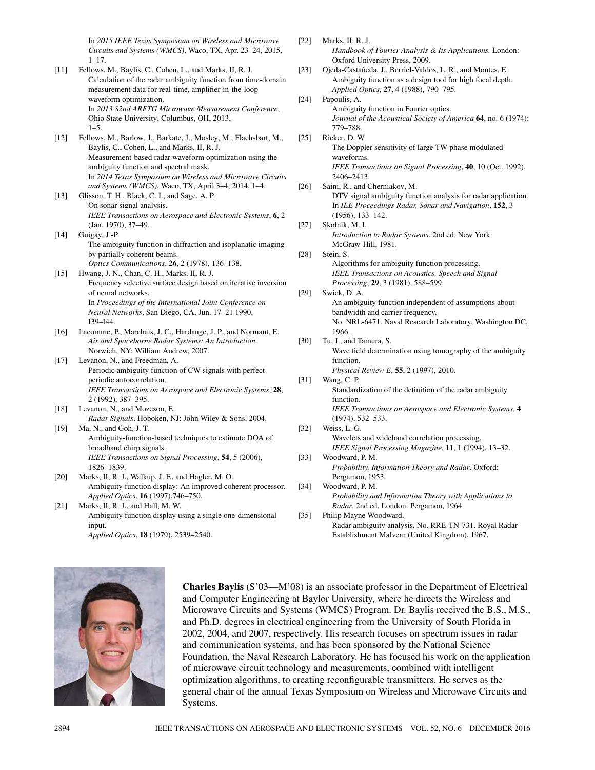In *2015 IEEE Texas Symposium on Wireless and Microwave Circuits and Systems (WMCS)*, Waco, TX, Apr. 23–24, 2015,  $1 - 17$ 

- [11] Fellows, M., Baylis, C., Cohen, L., and Marks, II, R. J. Calculation of the radar ambiguity function from time-domain measurement data for real-time, amplifier-in-the-loop waveform optimization. In *2013 82nd ARFTG Microwave Measurement Conference*, Ohio State University, Columbus, OH, 2013, 1–5.
- [12] Fellows, M., Barlow, J., Barkate, J., Mosley, M., Flachsbart, M., Baylis, C., Cohen, L., and Marks, II, R. J. Measurement-based radar waveform optimization using the ambiguity function and spectral mask. In *2014 Texas Symposium on Wireless and Microwave Circuits and Systems (WMCS)*, Waco, TX, April 3–4, 2014, 1–4.
- [13] Glisson, T. H., Black, C. I., and Sage, A. P. On sonar signal analysis. *IEEE Transactions on Aerospace and Electronic Systems*, **6**, 2 (Jan. 1970), 37–49.
- [14] Guigay, J.-P. The ambiguity function in diffraction and isoplanatic imaging by partially coherent beams. *Optics Communications*, **26**, 2 (1978), 136–138.
- [15] Hwang, J. N., Chan, C. H., Marks, II, R. J. Frequency selective surface design based on iterative inversion of neural networks. In *Proceedings of the International Joint Conference on Neural Networks*, San Diego, CA, Jun. 17–21 1990, I39–I44.
- [16] Lacomme, P., Marchais, J. C., Hardange, J. P., and Normant, E. *Air and Spaceborne Radar Systems: An Introduction*. Norwich, NY: William Andrew, 2007.
- [17] Levanon, N., and Freedman, A. Periodic ambiguity function of CW signals with perfect periodic autocorrelation. *IEEE Transactions on Aerospace and Electronic Systems*, **28**, 2 (1992), 387–395.
- [18] Levanon, N., and Mozeson, E. *Radar Signals*. Hoboken, NJ: John Wiley & Sons, 2004. [19] Ma, N., and Goh, J. T.
- Ambiguity-function-based techniques to estimate DOA of broadband chirp signals. *IEEE Transactions on Signal Processing*, **54**, 5 (2006), 1826–1839.
- [20] Marks, II, R. J., Walkup, J. F., and Hagler, M. O. Ambiguity function display: An improved coherent processor. *Applied Optics*, **16** (1997),746–750. [21] Marks, II, R. J., and Hall, M. W.

Ambiguity function display using a single one-dimensional input. *Applied Optics*, **18** (1979), 2539–2540.

- [22] Marks, II, R. J. *Handbook of Fourier Analysis & Its Applications.* London: Oxford University Press, 2009. [23] Ojeda-Castañeda, J., Berriel-Valdos, L. R., and Montes, E. Ambiguity function as a design tool for high focal depth. *Applied Optics*, **27**, 4 (1988), 790–795. [24] Papoulis, A. Ambiguity function in Fourier optics. *Journal of the Acoustical Society of America* **64**, no. 6 (1974): 779–788. [25] Ricker, D. W. The Doppler sensitivity of large TW phase modulated waveforms. *IEEE Transactions on Signal Processing*, **40**, 10 (Oct. 1992), 2406–2413. [26] Saini, R., and Cherniakov, M. DTV signal ambiguity function analysis for radar application. In *IEE Proceedings Radar, Sonar and Navigation*, **152**, 3 (1956), 133–142. [27] Skolnik, M. I. *Introduction to Radar Systems*. 2nd ed. New York: McGraw-Hill, 1981.
- [28] Stein, S. Algorithms for ambiguity function processing. *IEEE Transactions on Acoustics, Speech and Signal Processing*, **29**, 3 (1981), 588–599.
- [29] Swick, D. A. An ambiguity function independent of assumptions about bandwidth and carrier frequency. No. NRL-6471. Naval Research Laboratory, Washington DC, 1966.
- [30] Tu, J., and Tamura, S. Wave field determination using tomography of the ambiguity function. *Physical Review E*, **55**, 2 (1997), 2010. [31] Wang, C. P.
- Standardization of the definition of the radar ambiguity function. *IEEE Transactions on Aerospace and Electronic Systems*, **4** (1974), 532–533. [32] Weiss, L. G. Wavelets and wideband correlation processing. *IEEE Signal Processing Magazine*, **11**, 1 (1994), 13–32. [33] Woodward, P. M.
- *Probability, Information Theory and Radar*. Oxford: Pergamon, 1953. [34] Woodward, P. M.
	- *Probability and Information Theory with Applications to Radar*, 2nd ed. London: Pergamon, 1964
- [35] Philip Mayne Woodward, Radar ambiguity analysis. No. RRE-TN-731. Royal Radar Establishment Malvern (United Kingdom), 1967.



**Charles Baylis** (S'03—M'08) is an associate professor in the Department of Electrical and Computer Engineering at Baylor University, where he directs the Wireless and Microwave Circuits and Systems (WMCS) Program. Dr. Baylis received the B.S., M.S., and Ph.D. degrees in electrical engineering from the University of South Florida in 2002, 2004, and 2007, respectively. His research focuses on spectrum issues in radar and communication systems, and has been sponsored by the National Science Foundation, the Naval Research Laboratory. He has focused his work on the application of microwave circuit technology and measurements, combined with intelligent optimization algorithms, to creating reconfigurable transmitters. He serves as the general chair of the annual Texas Symposium on Wireless and Microwave Circuits and Systems.